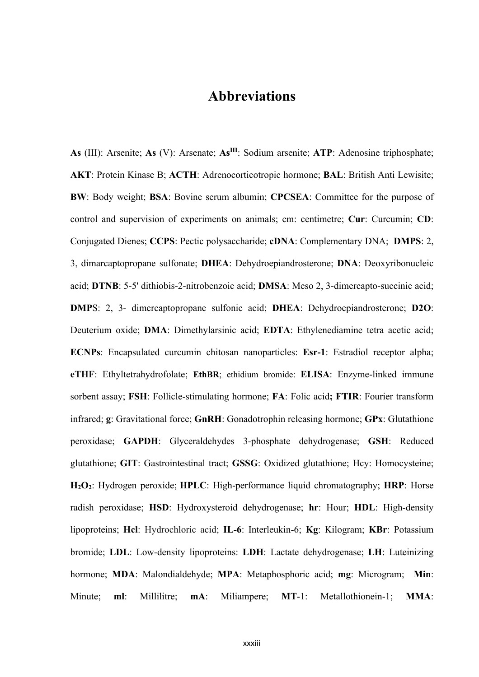## **Abbreviations**

**As** (III): Arsenite; **As** (V): Arsenate; **AsIII**: Sodium arsenite; **ATP**: Adenosine triphosphate; **AKT**: Protein Kinase B; **ACTH**: Adrenocorticotropic hormone; **BAL**: British Anti Lewisite; **BW**: Body weight; **BSA**: Bovine serum albumin; **CPCSEA**: Committee for the purpose of control and supervision of experiments on animals; cm: centimetre; **Cur**: Curcumin; **CD**: Conjugated Dienes; **CCPS**: Pectic polysaccharide; **cDNA**: Complementary DNA; **DMPS**: 2, 3, dimarcaptopropane sulfonate; **DHEA**: Dehydroepiandrosterone; **DNA**: Deoxyribonucleic acid; **DTNB**: 5-5' dithiobis-2-nitrobenzoic acid; **DMSA**: Meso 2, 3-dimercapto-succinic acid; **DMP**S: 2, 3- dimercaptopropane sulfonic acid; **DHEA**: Dehydroepiandrosterone; **D2O**: Deuterium oxide; **DMA**: Dimethylarsinic acid; **EDTA**: Ethylenediamine tetra acetic acid; **ECNPs**: Encapsulated curcumin chitosan nanoparticles: **Esr-1**: Estradiol receptor alpha; **eTHF**: Ethyltetrahydrofolate; **EthBR**; ethidium bromide: **ELISA**: Enzyme-linked immune sorbent assay; **FSH**: Follicle-stimulating hormone; **FA**: Folic acid**; FTIR**: Fourier transform infrared; **g**: Gravitational force; **GnRH**: Gonadotrophin releasing hormone; **GPx**: Glutathione peroxidase; **GAPDH**: Glyceraldehydes 3-phosphate dehydrogenase; **GSH**: Reduced glutathione; **GIT**: Gastrointestinal tract; **GSSG**: Oxidized glutathione; Hcy: Homocysteine; **H2O2**: Hydrogen peroxide; **HPLC**: High-performance liquid chromatography; **HRP**: Horse radish peroxidase; **HSD**: Hydroxysteroid dehydrogenase; **hr**: Hour; **HDL**: High-density lipoproteins; **Hcl**: Hydrochloric acid; **IL-6**: Interleukin-6; **Kg**: Kilogram; **KBr**: Potassium bromide; **LDL**: Low-density lipoproteins: **LDH**: Lactate dehydrogenase; **LH**: Luteinizing hormone; **MDA**: Malondialdehyde; **MPA**: Metaphosphoric acid; **mg**: Microgram; **Min**: Minute; **ml**: Millilitre; **mA**: Miliampere; **MT**-1: Metallothionein-1; **MMA**: